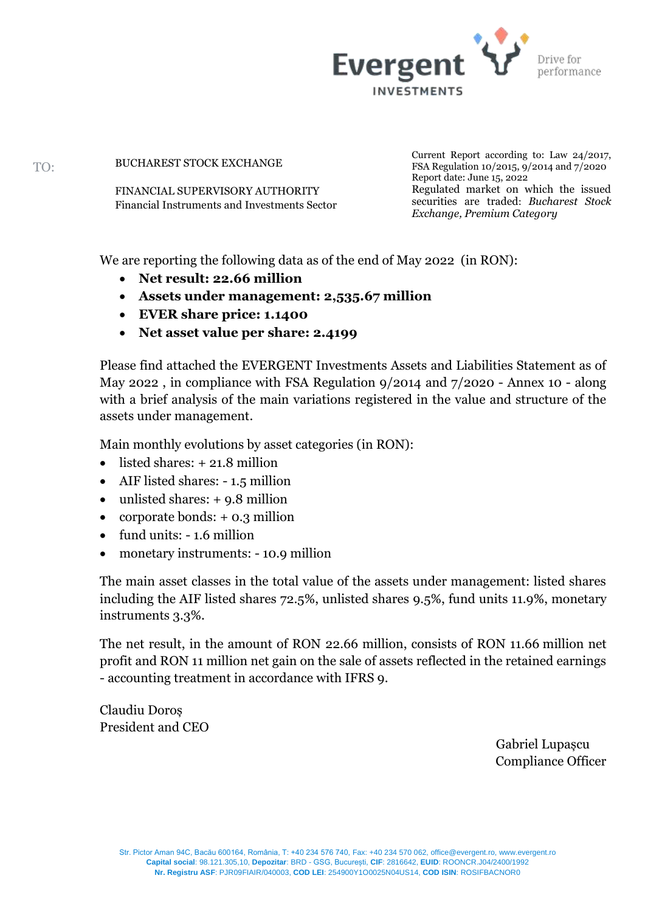

BUCHAREST STOCK EXCHANGE

FINANCIAL SUPERVISORY AUTHORITY Financial Instruments and Investments Sector Current Report according to: Law 24/2017, FSA Regulation 10/2015, 9/2014 and 7/2020 Report date: June 15, 2022 Regulated market on which the issued securities are traded: *Bucharest Stock Exchange, Premium Category*

We are reporting the following data as of the end of May 2022 (in RON):

- **Net result: 22.66 million**
- **Assets under management: 2,535.67 million**
- **EVER share price: 1.1400**
- **Net asset value per share: 2.4199**

Please find attached the EVERGENT Investments Assets and Liabilities Statement as of May 2022 , in compliance with FSA Regulation 9/2014 and 7/2020 - Annex 10 - along with a brief analysis of the main variations registered in the value and structure of the assets under management.

Main monthly evolutions by asset categories (in RON):

- listed shares:  $+21.8$  million
- AIF listed shares: 1.5 million
- unlisted shares: +9.8 million
- corporate bonds: + 0.3 million
- fund units: 1.6 million
- monetary instruments: 10.9 million

The main asset classes in the total value of the assets under management: listed shares including the AIF listed shares 72.5%, unlisted shares 9.5%, fund units 11.9%, monetary instruments 3.3%.

The net result, in the amount of RON 22.66 million, consists of RON 11.66 million net profit and RON 11 million net gain on the sale of assets reflected in the retained earnings - accounting treatment in accordance with IFRS 9.

Claudiu Doroș President and CEO

> Gabriel Lupașcu Compliance Officer

TO: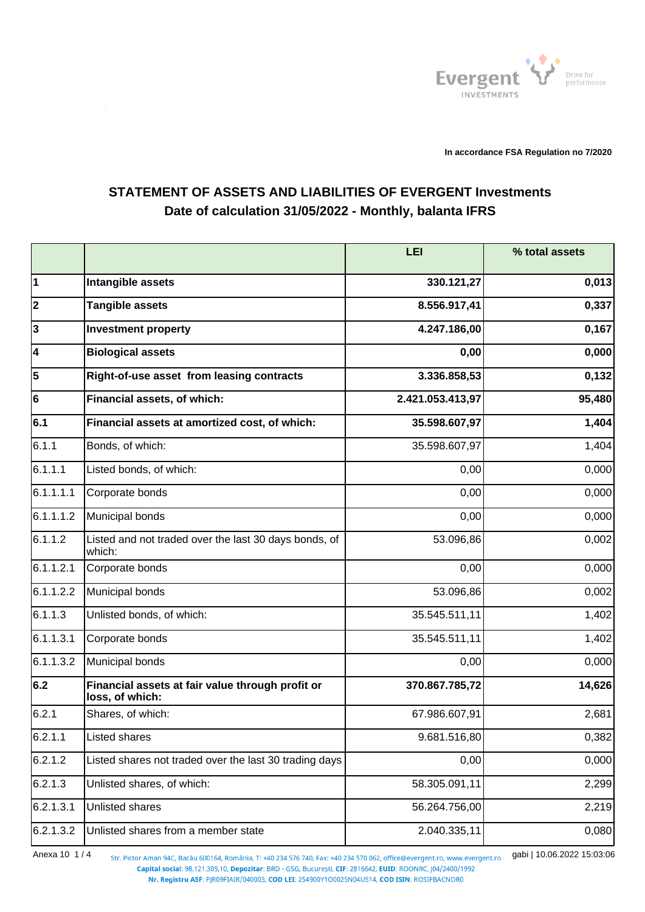

**In accordance FSA Regulation no 7/2020**

## **STATEMENT OF ASSETS AND LIABILITIES OF EVERGENT Investments Date of calculation 31/05/2022 - Monthly, balanta IFRS**

|              |                                                                     | LEI              | % total assets |
|--------------|---------------------------------------------------------------------|------------------|----------------|
| 1            | Intangible assets                                                   | 330.121,27       | 0,013          |
| $ 2\rangle$  | <b>Tangible assets</b>                                              | 8.556.917,41     | 0,337          |
| $\mathbf{3}$ | <b>Investment property</b>                                          | 4.247.186,00     | 0,167          |
| 4            | <b>Biological assets</b>                                            | 0,00             | 0,000          |
| 5            | Right-of-use asset from leasing contracts                           | 3.336.858,53     | 0,132          |
| 6            | Financial assets, of which:                                         | 2.421.053.413,97 | 95,480         |
| 6.1          | Financial assets at amortized cost, of which:                       | 35.598.607,97    | 1,404          |
| 6.1.1        | Bonds, of which:                                                    | 35.598.607,97    | 1,404          |
| 6.1.1.1      | Listed bonds, of which:                                             | 0,00             | 0,000          |
| 6.1.1.1.1    | Corporate bonds                                                     | 0,00             | 0,000          |
| 6.1.1.1.2    | Municipal bonds                                                     | 0,00             | 0,000          |
| 6.1.1.2      | Listed and not traded over the last 30 days bonds, of<br>which:     | 53.096,86        | 0,002          |
| 6.1.1.2.1    | Corporate bonds                                                     | 0,00             | 0,000          |
| 6.1.1.2.2    | Municipal bonds                                                     | 53.096,86        | 0,002          |
| 6.1.1.3      | Unlisted bonds, of which:                                           | 35.545.511,11    | 1,402          |
| 6.1.1.3.1    | Corporate bonds                                                     | 35.545.511,11    | 1,402          |
| 6.1.1.3.2    | Municipal bonds                                                     | 0,00             | 0,000          |
| 6.2          | Financial assets at fair value through profit or<br>loss, of which: | 370.867.785,72   | 14,626         |
| 6.2.1        | Shares, of which:                                                   | 67.986.607,91    | 2,681          |
| 6.2.1.1      | Listed shares                                                       | 9.681.516,80     | 0,382          |
| 6.2.1.2      | Listed shares not traded over the last 30 trading days              | 0,00             | 0,000          |
| 6.2.1.3      | Unlisted shares, of which:                                          | 58.305.091,11    | 2,299          |
| 6.2.1.3.1    | Unlisted shares                                                     | 56.264.756,00    | 2,219          |
| 6.2.1.3.2    | Unlisted shares from a member state                                 | 2.040.335,11     | 0,080          |

Anexa 10 1/4 <sub>Str. Pictor Aman 94C, Bacău 600164, România, T: +40 234 576 740, Fax: +40 234 570 062, office@evergent.ro, www.evergent.ro gabi | 10.06.2022 15:03:06</sub> Capital social: 98.121.305,10, Depozitar: BRD - GSG, București, CIF: 2816642, EUID: ROONRC, J04/2400/1992

Nr. Registru ASF: PJR09FIAIR/040003, COD LEI: 254900Y1O0025N04US14, COD ISIN: ROSIFBACNOR0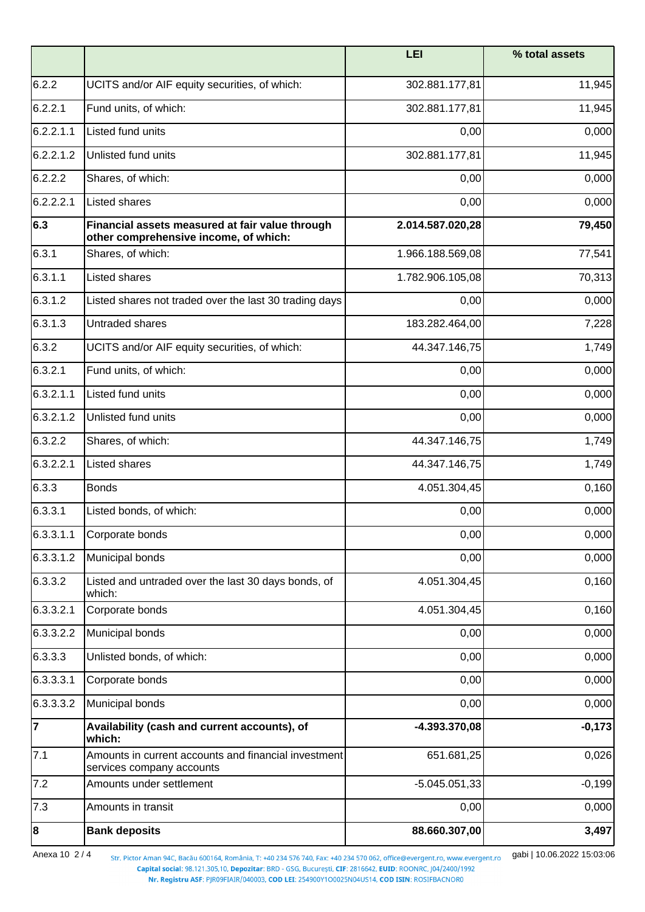|                |                                                                                          | <b>LEI</b>       | % total assets |
|----------------|------------------------------------------------------------------------------------------|------------------|----------------|
| 6.2.2          | UCITS and/or AIF equity securities, of which:                                            | 302.881.177,81   | 11,945         |
| 6.2.2.1        | Fund units, of which:                                                                    | 302.881.177,81   | 11,945         |
| 6.2.2.1.1      | Listed fund units                                                                        | 0,00             | 0,000          |
| 6.2.2.1.2      | Unlisted fund units                                                                      | 302.881.177,81   | 11,945         |
| 6.2.2.2        | Shares, of which:                                                                        | 0,00             | 0,000          |
| 6.2.2.2.1      | Listed shares                                                                            | 0,00             | 0,000          |
| 6.3            | Financial assets measured at fair value through<br>other comprehensive income, of which: | 2.014.587.020,28 | 79,450         |
| 6.3.1          | Shares, of which:                                                                        | 1.966.188.569,08 | 77,541         |
| 6.3.1.1        | Listed shares                                                                            | 1.782.906.105,08 | 70,313         |
| 6.3.1.2        | Listed shares not traded over the last 30 trading days                                   | 0,00             | 0,000          |
| 6.3.1.3        | Untraded shares                                                                          | 183.282.464,00   | 7,228          |
| 6.3.2          | UCITS and/or AIF equity securities, of which:                                            | 44.347.146,75    | 1,749          |
| 6.3.2.1        | Fund units, of which:                                                                    | 0,00             | 0,000          |
| 6.3.2.1.1      | Listed fund units                                                                        | 0,00             | 0,000          |
| 6.3.2.1.2      | Unlisted fund units                                                                      | 0,00             | 0,000          |
| 6.3.2.2        | Shares, of which:                                                                        | 44.347.146,75    | 1,749          |
| 6.3.2.2.1      | Listed shares                                                                            | 44.347.146,75    | 1,749          |
| 6.3.3          | <b>Bonds</b>                                                                             | 4.051.304,45     | 0,160          |
| 6.3.3.1        | Listed bonds, of which:                                                                  | 0,00             | 0,000          |
| 6.3.3.1.1      | Corporate bonds                                                                          | 0,00             | 0,000          |
| 6.3.3.1.2      | Municipal bonds                                                                          | 0,00             | 0,000          |
| 6.3.3.2        | Listed and untraded over the last 30 days bonds, of<br>which:                            | 4.051.304,45     | 0,160          |
| 6.3.3.2.1      | Corporate bonds                                                                          | 4.051.304,45     | 0,160          |
| 6.3.3.2.2      | Municipal bonds                                                                          | 0,00             | 0,000          |
| 6.3.3.3        | Unlisted bonds, of which:                                                                | 0,00             | 0,000          |
| 6.3.3.3.1      | Corporate bonds                                                                          | 0,00             | 0,000          |
| 6.3.3.3.2      | Municipal bonds                                                                          | 0,00             | 0,000          |
| $\overline{7}$ | Availability (cash and current accounts), of<br>which:                                   | $-4.393.370,08$  | $-0,173$       |
| 7.1            | Amounts in current accounts and financial investment<br>services company accounts        | 651.681,25       | 0,026          |
| 7.2            | Amounts under settlement                                                                 | $-5.045.051,33$  | $-0,199$       |
| 7.3            | Amounts in transit                                                                       | 0,00             | 0,000          |
| 8              | <b>Bank deposits</b>                                                                     | 88.660.307,00    | 3,497          |

Anexa 10 2 / 4 Str. Pictor Aman 94C, Bacău 600164, România, T: +40 234 576 740, Fax: +40 234 570 062, office@evergent.ro, www.evergent.ro **gabi | 10.06.2022 15:03:06**<br>Capital social: 98.121.305,10, Depozitar: BRD - GSG, Bu

Nr. Registru ASF: PJR09FIAIR/040003, COD LEI: 254900Y1O0025N04US14, COD ISIN: ROSIFBACNOR0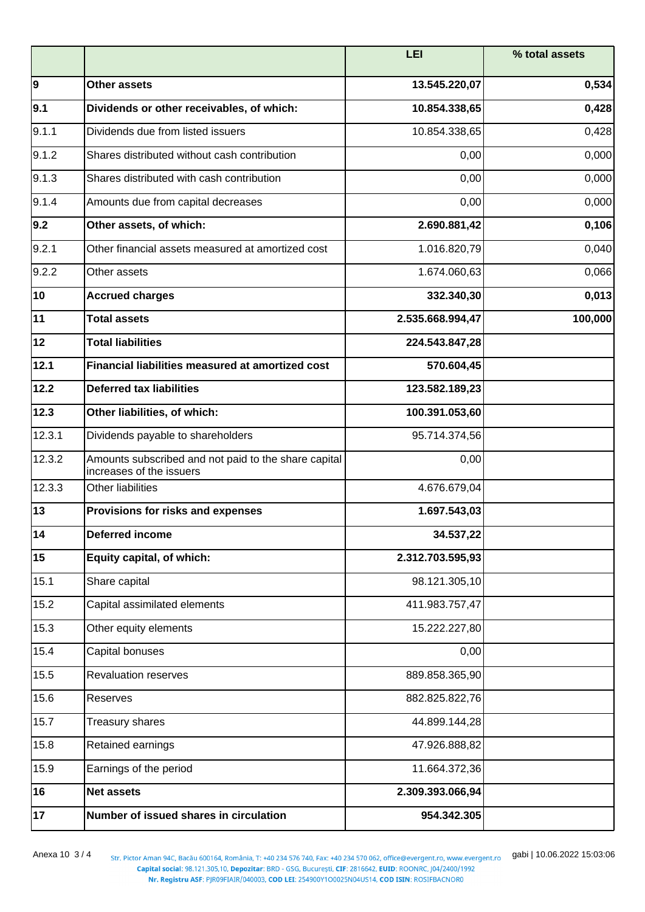|        |                                                                                  | <b>LEI</b>       | % total assets |
|--------|----------------------------------------------------------------------------------|------------------|----------------|
| 9      | <b>Other assets</b>                                                              | 13.545.220,07    | 0,534          |
| 9.1    | Dividends or other receivables, of which:                                        | 10.854.338,65    | 0,428          |
| 9.1.1  | Dividends due from listed issuers                                                | 10.854.338,65    | 0,428          |
| 9.1.2  | Shares distributed without cash contribution                                     | 0,00             | 0,000          |
| 9.1.3  | Shares distributed with cash contribution                                        | 0,00             | 0,000          |
| 9.1.4  | Amounts due from capital decreases                                               | 0,00             | 0,000          |
| 9.2    | Other assets, of which:                                                          | 2.690.881,42     | 0,106          |
| 9.2.1  | Other financial assets measured at amortized cost                                | 1.016.820,79     | 0,040          |
| 9.2.2  | Other assets                                                                     | 1.674.060,63     | 0,066          |
| 10     | <b>Accrued charges</b>                                                           | 332.340,30       | 0,013          |
| 11     | <b>Total assets</b>                                                              | 2.535.668.994,47 | 100,000        |
| 12     | <b>Total liabilities</b>                                                         | 224.543.847,28   |                |
| 12.1   | Financial liabilities measured at amortized cost                                 | 570.604,45       |                |
| 12.2   | <b>Deferred tax liabilities</b>                                                  | 123.582.189,23   |                |
| 12.3   | Other liabilities, of which:                                                     | 100.391.053,60   |                |
| 12.3.1 | Dividends payable to shareholders                                                | 95.714.374,56    |                |
| 12.3.2 | Amounts subscribed and not paid to the share capital<br>increases of the issuers | 0,00             |                |
| 12.3.3 | Other liabilities                                                                | 4.676.679,04     |                |
| 13     | Provisions for risks and expenses                                                | 1.697.543,03     |                |
| 14     | Deferred income                                                                  | 34.537,22        |                |
| 15     | Equity capital, of which:                                                        | 2.312.703.595,93 |                |
| 15.1   | Share capital                                                                    | 98.121.305,10    |                |
| 15.2   | Capital assimilated elements                                                     | 411.983.757,47   |                |
| 15.3   | Other equity elements                                                            | 15.222.227,80    |                |
| 15.4   | Capital bonuses                                                                  | 0,00             |                |
| 15.5   | <b>Revaluation reserves</b>                                                      | 889.858.365,90   |                |
| 15.6   | Reserves                                                                         | 882.825.822,76   |                |
| 15.7   | Treasury shares                                                                  | 44.899.144,28    |                |
| 15.8   | Retained earnings                                                                | 47.926.888,82    |                |
| 15.9   | Earnings of the period                                                           | 11.664.372,36    |                |
| 16     | <b>Net assets</b>                                                                | 2.309.393.066,94 |                |
| 17     | Number of issued shares in circulation                                           | 954.342.305      |                |

Anexa 10 3 / 4 <sub>Str. Pictor Aman 94C, Bacău 600164, România, T: +40 234 576 740, Fax: +40 234 570 062, office@evergent.ro, www.evergent.ro gabi | 10.06.2022 15:03:06<br>Capital: 98.121.305,10, Depozitar: BRD - GSG, București,</sub> Nr. Registru ASF: PJR09FIAIR/040003, COD LEI: 254900Y1O0025N04US14, COD ISIN: ROSIFBACNOR0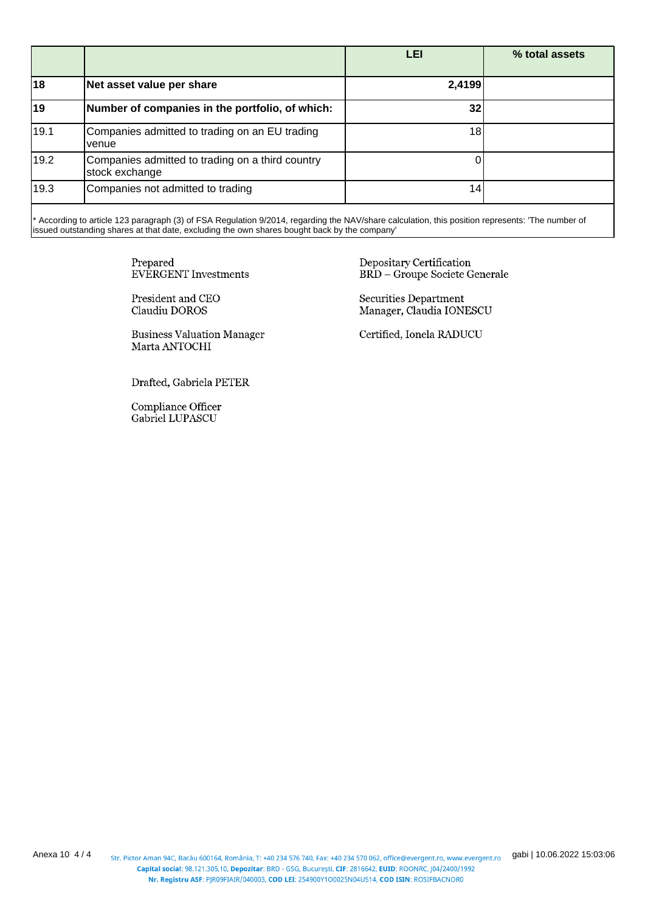|      |                                                                    | LEI    | % total assets |
|------|--------------------------------------------------------------------|--------|----------------|
| 18   | Net asset value per share                                          | 2,4199 |                |
| 19   | Number of companies in the portfolio, of which:                    | 32     |                |
| 19.1 | Companies admitted to trading on an EU trading<br>venue            | 18     |                |
| 19.2 | Companies admitted to trading on a third country<br>stock exchange |        |                |
| 19.3 | Companies not admitted to trading                                  | 14.    |                |

\* According to article 123 paragraph (3) of FSA Regulation 9/2014, regarding the NAV/share calculation, this position represents: 'The number of issued outstanding shares at that date, excluding the own shares bought back by the company'

> Prepared **EVERGENT** Investments

President and CEO Claudiu DOROS

**Business Valuation Manager** Marta ANTOCHI

Drafted, Gabriela PETER

Compliance Officer Gabriel LUPASCU

Depositary Certification **BRD** - Groupe Societe Generale

Securities Department Manager, Claudia IONESCU

Certified, Ionela RADUCU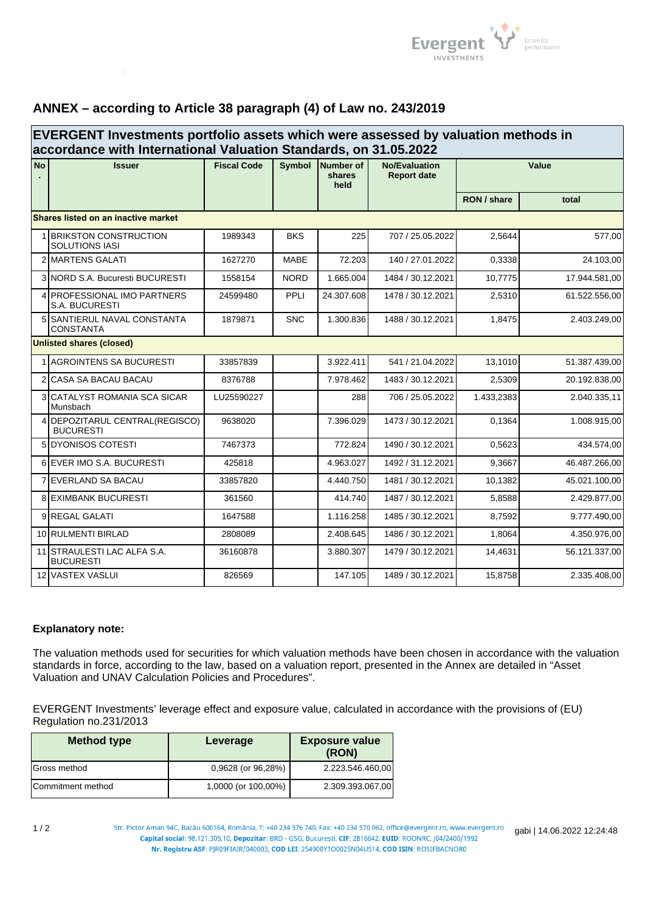

## **ANNEX – according to Article 38 paragraph (4) of Law no. 243/2019**

| EVERGENT Investments portfolio assets which were assessed by valuation methods in<br>accordance with International Valuation Standards, on 31.05.2022 |                                                       |                    |             |                                    |                                            |             |               |
|-------------------------------------------------------------------------------------------------------------------------------------------------------|-------------------------------------------------------|--------------------|-------------|------------------------------------|--------------------------------------------|-------------|---------------|
| <b>No</b>                                                                                                                                             | <b>Issuer</b>                                         | <b>Fiscal Code</b> |             | Symbol Number of<br>shares<br>held | <b>No/Evaluation</b><br><b>Report date</b> | Value       |               |
|                                                                                                                                                       |                                                       |                    |             |                                    |                                            | RON / share | total         |
|                                                                                                                                                       | Shares listed on an inactive market                   |                    |             |                                    |                                            |             |               |
|                                                                                                                                                       | <b>BRIKSTON CONSTRUCTION</b><br><b>SOLUTIONS IASI</b> | 1989343            | <b>BKS</b>  | 225                                | 707 / 25.05.2022                           | 2,5644      | 577,00        |
|                                                                                                                                                       | 2 MARTENS GALATI                                      | 1627270            | <b>MABE</b> | 72.203                             | 140 / 27.01.2022                           | 0,3338      | 24.103,00     |
|                                                                                                                                                       | 3 NORD S.A. Bucuresti BUCURESTI                       | 1558154            | <b>NORD</b> | 1.665.004                          | 1484 / 30.12.2021                          | 10,7775     | 17.944.581,00 |
|                                                                                                                                                       | 4 <b>PROFESSIONAL IMO PARTNERS</b><br>S.A. BUCURESTI  | 24599480           | PPLI        | 24.307.608                         | 1478 / 30.12.2021                          | 2,5310      | 61.522.556,00 |
| 5                                                                                                                                                     | ISANTIERUL NAVAL CONSTANTA<br><b>CONSTANTA</b>        | 1879871            | <b>SNC</b>  | 1.300.836                          | 1488 / 30.12.2021                          | 1,8475      | 2.403.249,00  |
|                                                                                                                                                       | <b>Unlisted shares (closed)</b>                       |                    |             |                                    |                                            |             |               |
|                                                                                                                                                       | 1 AGROINTENS SA BUCURESTI                             | 33857839           |             | 3.922.411                          | 541 / 21.04.2022                           | 13,1010     | 51.387.439,00 |
|                                                                                                                                                       | 2 CASA SA BACAU BACAU                                 | 8376788            |             | 7.978.462                          | 1483 / 30.12.2021                          | 2.5309      | 20.192.838,00 |
|                                                                                                                                                       | <b>3 CATALYST ROMANIA SCA SICAR</b><br>Munsbach       | LU25590227         |             | 288                                | 706 / 25.05.2022                           | 1.433,2383  | 2.040.335,11  |
|                                                                                                                                                       | 4 DEPOZITARUL CENTRAL(REGISCO)<br><b>BUCURESTI</b>    | 9638020            |             | 7.396.029                          | 1473 / 30.12.2021                          | 0,1364      | 1.008.915,00  |
|                                                                                                                                                       | 5 DYONISOS COTESTI                                    | 7467373            |             | 772.824                            | 1490 / 30.12.2021                          | 0.5623      | 434.574,00    |
|                                                                                                                                                       | 6 EVER IMO S.A. BUCURESTI                             | 425818             |             | 4.963.027                          | 1492 / 31.12.2021                          | 9.3667      | 46.487.266,00 |
|                                                                                                                                                       | <b>7 EVERLAND SA BACAU</b>                            | 33857820           |             | 4.440.750                          | 1481 / 30.12.2021                          | 10,1382     | 45.021.100,00 |
|                                                                                                                                                       | <b>8 EXIMBANK BUCURESTI</b>                           | 361560             |             | 414.740                            | 1487 / 30.12.2021                          | 5.8588      | 2.429.877,00  |
|                                                                                                                                                       | 9 REGAL GALATI                                        | 1647588            |             | 1.116.258                          | 1485 / 30.12.2021                          | 8.7592      | 9.777.490,00  |
|                                                                                                                                                       | 10 RULMENTI BIRLAD                                    | 2808089            |             | 2.408.645                          | 1486 / 30.12.2021                          | 1.8064      | 4.350.976,00  |
|                                                                                                                                                       | 11 STRAULESTI LAC ALFA S.A.<br><b>BUCURESTI</b>       | 36160878           |             | 3.880.307                          | 1479 / 30.12.2021                          | 14,4631     | 56.121.337,00 |
|                                                                                                                                                       | 12 VASTEX VASLUI                                      | 826569             |             | 147.105                            | 1489 / 30.12.2021                          | 15,8758     | 2.335.408,00  |

## **Explanatory note:**

The valuation methods used for securities for which valuation methods have been chosen in accordance with the valuation standards in force, according to the law, based on a valuation report, presented in the Annex are detailed in "Asset Valuation and UNAV Calculation Policies and Procedures".

EVERGENT Investments' leverage effect and exposure value, calculated in accordance with the provisions of (EU) Regulation no.231/2013

| <b>Method type</b> | Leverage            | <b>Exposure value</b><br>(RON) |
|--------------------|---------------------|--------------------------------|
| Gross method       | 0,9628 (or 96,28%)  | 2.223.546.460,00               |
| Commitment method  | 1,0000 (or 100,00%) | 2.309.393.067,00               |

Str. Pictor Aman 94C, Bacău 600164, România, T: +40 234 576 740, Fax: +40 234 570 062, office@evergent.ro, www.evergent.ro gabi | 14.06.2022 12:24:48 -<br>Nr. Registru ASF: PJR09FIAIR/040003, COD LEI: 254900Y1O0025N04US14, COD ISIN: ROSIFBACNOR0